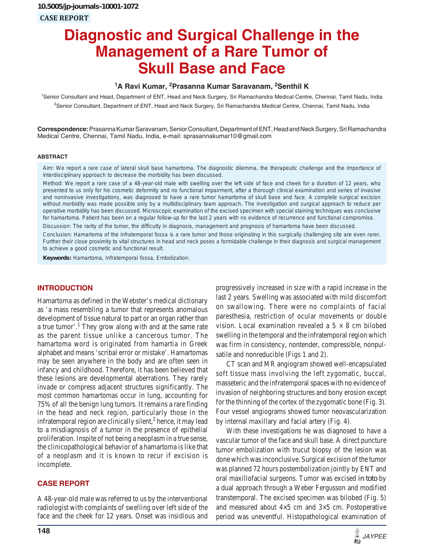# **Diagnostic and Surgical Challenge in the Management of a Rare Tumor of Skull Base and Face**

### <sup>1</sup>A Ravi Kumar, <sup>2</sup>Prasanna Kumar Saravanam, <sup>2</sup>Senthil K

<sup>1</sup>Senior Consultant and Head, Department of ENT, Head and Neck Surgery, Sri Ramachandra Medical Centre, Chennai, Tamil Nadu, India <sup>2</sup>Senior Consultant, Department of ENT, Head and Neck Surgery, Sri Ramachandra Medical Centre, Chennai, Tamil Nadu, India

**Correspondence:** Prasanna Kumar Saravanam, Senior Consultant, Department of ENT, Head and Neck Surgery, Sri Ramachandra Medical Centre, Chennai, Tamil Nadu, India, e-mail: sprasannakumar10@gmail.com

#### **ABSTRACT**

*Aim*: We report a rare case of lateral skull base hamartoma. The diagnostic dilemma, the therapeutic challenge and the importance of interdisciplinary approach to decrease the morbidity has been discussed.

*Method*: We report a rare case of a 48-year-old male with swelling over the left side of face and cheek for a duration of 12 years, who presented to us only for his cosmetic deformity and no functional impairment, after a thorough clinical examination and series of invasive and noninvasive investigations, was diagnosed to have a rare tumor hamartoma of skull base and face. A complete surgical excision without morbidity was made possible only by a multidisciplinary team approach. The investigation and surgical approach to reduce per operative morbidity has been discussed. Microscopic examination of the excised specimen with special staining techniques was conclusive for hamartoma. Patient has been on a regular follow-up for the last 2 years with no evidence of recurrence and functional compromise.

*Discussion*: The rarity of the tumor, the difficulty in diagnosis, management and prognosis of hamartoma have been discussed.

*Conclusion*: Hamartoma of the infratemporal fossa is a rare tumor and those originating in this surgically challenging site are even rarer. Further their close proximity to vital structures in head and neck poses a formidable challenge in their diagnosis and surgical management to achieve a good cosmetic and functional result.

**Keywords:** Hamartoma, Infratemporal fossa, Embolization.

#### **INTRODUCTION**

Hamartoma as defined in the Webster's medical dictionary as 'a mass resembling a tumor that represents anomalous development of tissue natural to part or an organ rather than a true tumor'.<sup>1</sup> They grow along with and at the same rate as the parent tissue unlike a cancerous tumor. The hamartoma word is originated from hamartia in Greek alphabet and means 'scribal error or mistake'. Hamartomas may be seen anywhere in the body and are often seen in infancy and childhood. Therefore, it has been believed that these lesions are developmental aberrations. They rarely invade or compress adjacent structures significantly. The most common hamartomas occur in lung, accounting for 75% of all the benign lung tumors. It remains a rare finding in the head and neck region, particularly those in the infratemporal region are clinically silent, $<sup>2</sup>$  hence, it may lead</sup> to a misdiagnosis of a tumor in the presence of epithelial proliferation. Inspite of not being a neoplasm in a true sense, the clinicopathological behavior of a hamartoma is like that of a neoplasm and it is known to recur if excision is incomplete.

#### **CASE REPORT**

A 48-year-old male was referred to us by the interventional radiologist with complaints of swelling over left side of the face and the cheek for 12 years. Onset was insidious and

progressively increased in size with a rapid increase in the last 2 years. Swelling was associated with mild discomfort on swallowing. There were no complaints of facial paresthesia, restriction of ocular movements or double vision. Local examination revealed a  $5 \times 8$  cm bilobed swelling in the temporal and the infratemporal region which was firm in consistency, nontender, compressible, nonpulsatile and nonreducible (Figs 1 and 2).

CT scan and MR angiogram showed well-encapsulated soft tissue mass involving the left zygomatic, buccal, masseteric and the infratemporal spaces with no evidence of invasion of neighboring structures and bony erosion except for the thinning of the cortex of the zygomatic bone (Fig. 3). Four vessel angiograms showed tumor neovascularization by internal maxillary and facial artery (Fig. 4).

With these investigations he was diagnosed to have a vascular tumor of the face and skull base. A direct puncture tumor embolization with trucut biopsy of the lesion was done which was inconclusive. Surgical excision of the tumor was planned 72 hours postembolization jointly by ENT and oral maxillofacial surgeons. Tumor was excised *in toto* by a dual approach through a Weber Fergusson and modified transtemporal. The excised specimen was bilobed (Fig. 5) and measured about  $4\times5$  cm and  $3\times5$  cm. Postoperative period was uneventful. Histopathological examination of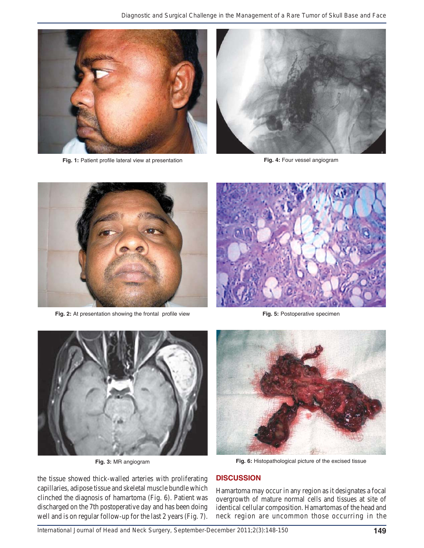

Fig. 1: Patient profile lateral view at presentation



**Fig. 4:** Four vessel angiogram



**Fig. 2:** At presentation showing the frontal profile view



**Fig. 5:** Postoperative specimen



**Fig. 3:** MR angiogram

the tissue showed thick-walled arteries with proliferating capillaries, adipose tissue and skeletal muscle bundle which clinched the diagnosis of hamartoma (Fig. 6). Patient was discharged on the 7th postoperative day and has been doing well and is on regular follow-up for the last 2 years (Fig. 7).



**Fig. 6:** Histopathological picture of the excised tissue

## **DISCUSSION**

Hamartoma may occur in any region as it designates a focal overgrowth of mature normal cells and tissues at site of identical cellular composition. Hamartomas of the head and neck region are uncommon those occurring in the